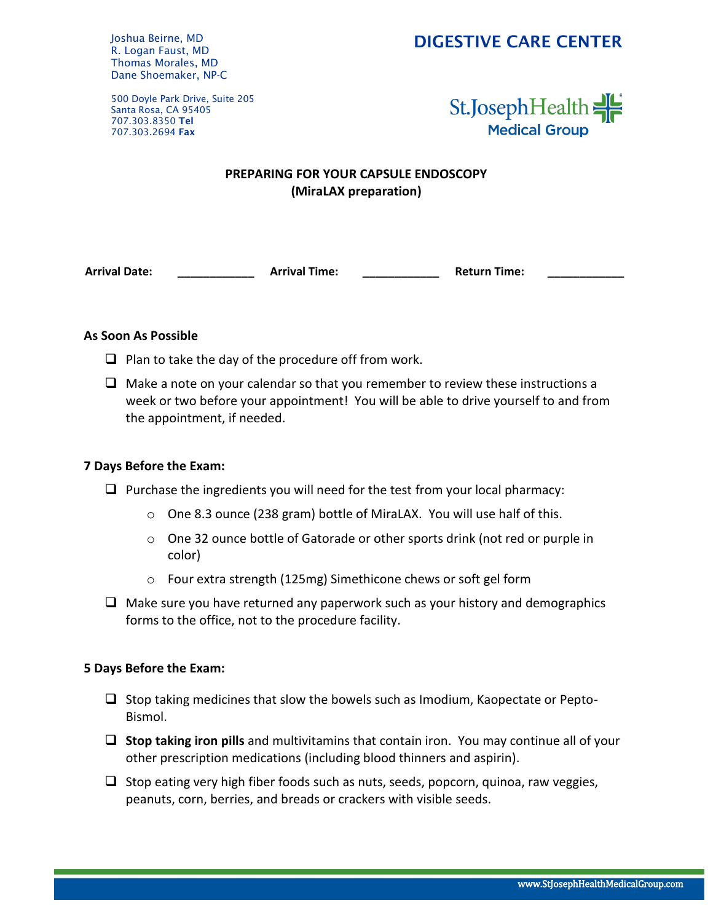### DIGESTIVE CARE CENTER

Joshua Beirne, MD R. Logan Faust, MD Thomas Morales, MD Dane Shoemaker, NP-C

500 Doyle Park Drive, Suite 205 Santa Rosa, CA 95405 707.303.8350 Tel 707.303.2694 Fax



### **PREPARING FOR YOUR CAPSULE ENDOSCOPY (MiraLAX preparation)**

**Arrival Date: \_\_\_\_\_\_\_\_\_\_\_\_ Arrival Time: \_\_\_\_\_\_\_\_\_\_\_\_ Return Time: \_\_\_\_\_\_\_\_\_\_\_\_**

### **As Soon As Possible**

- $\Box$  Plan to take the day of the procedure off from work.
- $\Box$  Make a note on your calendar so that you remember to review these instructions a week or two before your appointment! You will be able to drive yourself to and from the appointment, if needed.

### **7 Days Before the Exam:**

- $\Box$  Purchase the ingredients you will need for the test from your local pharmacy:
	- o One 8.3 ounce (238 gram) bottle of MiraLAX. You will use half of this.
	- $\circ$  One 32 ounce bottle of Gatorade or other sports drink (not red or purple in color)
	- o Four extra strength (125mg) Simethicone chews or soft gel form
- $\Box$  Make sure you have returned any paperwork such as your history and demographics forms to the office, not to the procedure facility.

### **5 Days Before the Exam:**

- $\Box$  Stop taking medicines that slow the bowels such as Imodium, Kaopectate or Pepto-Bismol.
- ❑ **Stop taking iron pills** and multivitamins that contain iron. You may continue all of your other prescription medications (including blood thinners and aspirin).
- $\Box$  Stop eating very high fiber foods such as nuts, seeds, popcorn, quinoa, raw veggies, peanuts, corn, berries, and breads or crackers with visible seeds.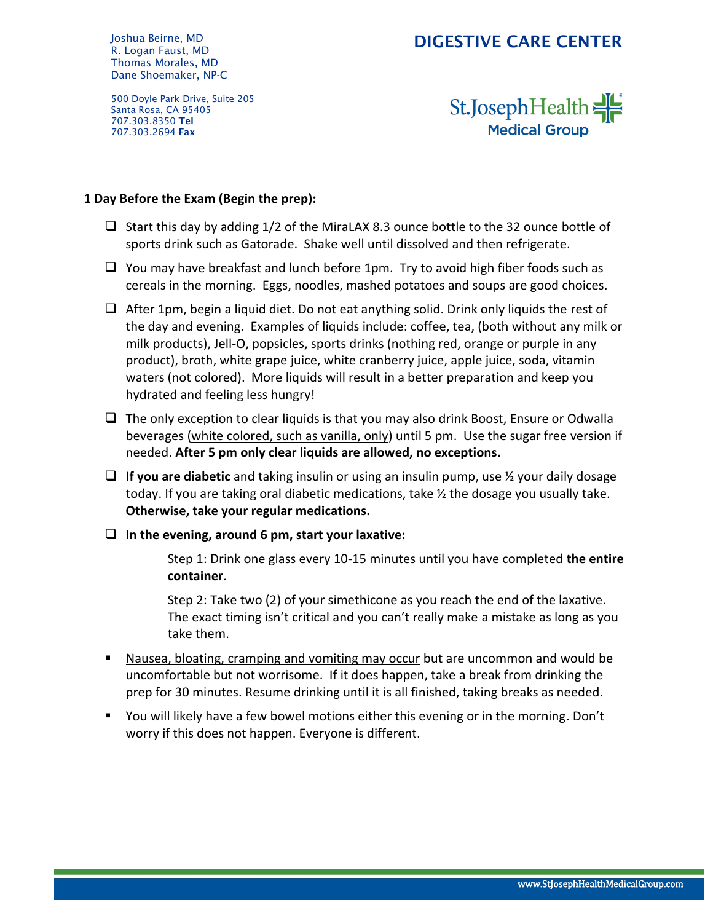Joshua Beirne, MD R. Logan Faust, MD Thomas Morales, MD Dane Shoemaker, NP-C

## DIGESTIVE CARE CENTER

500 Doyle Park Drive, Suite 205 Santa Rosa, CA 95405 707.303.8350 Tel 707.303.2694 Fax

St.JosephHealth **Medical Group** 

### **1 Day Before the Exam (Begin the prep):**

- ❑ Start this day by adding 1/2 of the MiraLAX 8.3 ounce bottle to the 32 ounce bottle of sports drink such as Gatorade. Shake well until dissolved and then refrigerate.
- ❑ You may have breakfast and lunch before 1pm. Try to avoid high fiber foods such as cereals in the morning. Eggs, noodles, mashed potatoes and soups are good choices.
- ❑ After 1pm, begin a liquid diet. Do not eat anything solid. Drink only liquids the rest of the day and evening. Examples of liquids include: coffee, tea, (both without any milk or milk products), Jell-O, popsicles, sports drinks (nothing red, orange or purple in any product), broth, white grape juice, white cranberry juice, apple juice, soda, vitamin waters (not colored). More liquids will result in a better preparation and keep you hydrated and feeling less hungry!
- $\Box$  The only exception to clear liquids is that you may also drink Boost, Ensure or Odwalla beverages (white colored, such as vanilla, only) until 5 pm. Use the sugar free version if needed. **After 5 pm only clear liquids are allowed, no exceptions.**
- ❑ **If you are diabetic** and taking insulin or using an insulin pump, use ½ your daily dosage today. If you are taking oral diabetic medications, take ½ the dosage you usually take. **Otherwise, take your regular medications.**
- ❑ **In the evening, around 6 pm, start your laxative:**

Step 1: Drink one glass every 10-15 minutes until you have completed **the entire container**.

Step 2: Take two (2) of your simethicone as you reach the end of the laxative. The exact timing isn't critical and you can't really make a mistake as long as you take them.

- Nausea, bloating, cramping and vomiting may occur but are uncommon and would be uncomfortable but not worrisome. If it does happen, take a break from drinking the prep for 30 minutes. Resume drinking until it is all finished, taking breaks as needed.
- You will likely have a few bowel motions either this evening or in the morning. Don't worry if this does not happen. Everyone is different.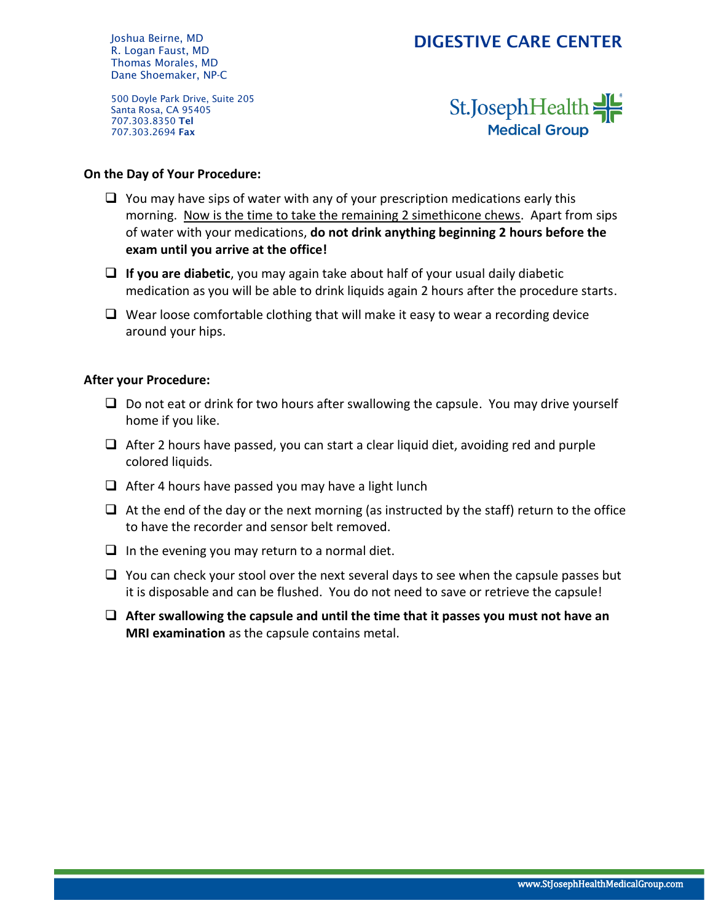## DIGESTIVE CARE CENTER

Joshua Beirne, MD R. Logan Faust, MD Thomas Morales, MD Dane Shoemaker, NP-C

500 Doyle Park Drive, Suite 205 Santa Rosa, CA 95405 707.303.8350 Tel 707.303.2694 Fax

# St.JosephHealth **Medical Group**

### **On the Day of Your Procedure:**

- $\Box$  You may have sips of water with any of your prescription medications early this morning. Now is the time to take the remaining 2 simethicone chews. Apart from sips of water with your medications, **do not drink anything beginning 2 hours before the exam until you arrive at the office!**
- ❑ **If you are diabetic**, you may again take about half of your usual daily diabetic medication as you will be able to drink liquids again 2 hours after the procedure starts.
- $\Box$  Wear loose comfortable clothing that will make it easy to wear a recording device around your hips.

### **After your Procedure:**

- $\Box$  Do not eat or drink for two hours after swallowing the capsule. You may drive yourself home if you like.
- ❑ After 2 hours have passed, you can start a clear liquid diet, avoiding red and purple colored liquids.
- $\Box$  After 4 hours have passed you may have a light lunch
- $\Box$  At the end of the day or the next morning (as instructed by the staff) return to the office to have the recorder and sensor belt removed.
- $\Box$  In the evening you may return to a normal diet.
- ❑ You can check your stool over the next several days to see when the capsule passes but it is disposable and can be flushed. You do not need to save or retrieve the capsule!
- ❑ **After swallowing the capsule and until the time that it passes you must not have an MRI examination** as the capsule contains metal.